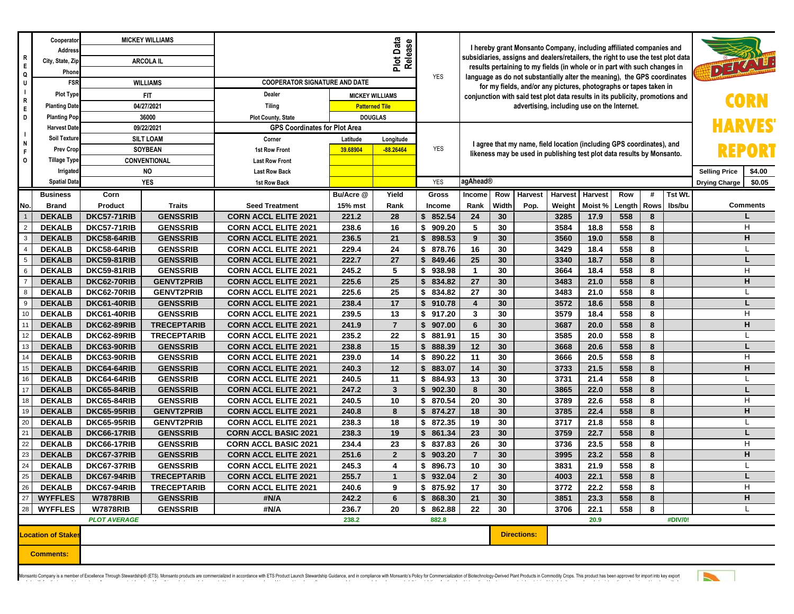| $\overline{R}$               | Cooperator<br>Address<br>City, State, Zip |                                          | <b>MICKEY WILLIAMS</b>               |                                                            |                       | I hereby grant Monsanto Company, including affiliated companies and<br>subsidiaries, assigns and dealers/retailers, the right to use the test plot data                                                                        |                              |                                                                                   |          |                    |                                             |              |                      |                      |               |  |          |
|------------------------------|-------------------------------------------|------------------------------------------|--------------------------------------|------------------------------------------------------------|-----------------------|--------------------------------------------------------------------------------------------------------------------------------------------------------------------------------------------------------------------------------|------------------------------|-----------------------------------------------------------------------------------|----------|--------------------|---------------------------------------------|--------------|----------------------|----------------------|---------------|--|----------|
| E<br>Q                       | Phone                                     | <b>ARCOLA IL</b>                         |                                      | Plot Data<br>Release                                       |                       |                                                                                                                                                                                                                                |                              | DELA<br>results pertaining to my fields (in whole or in part with such changes in |          |                    |                                             |              |                      |                      |               |  |          |
| U                            | <b>FSR</b>                                | <b>WILLIAMS</b>                          |                                      | <b>COOPERATOR SIGNATURE AND DATE</b>                       | <b>YES</b>            | language as do not substantially alter the meaning), the GPS coordinates<br>for my fields, and/or any pictures, photographs or tapes taken in<br>conjunction with said test plot data results in its publicity, promotions and |                              |                                                                                   |          |                    |                                             |              |                      |                      |               |  |          |
| $\vert \ \ \vert$            | <b>Plot Type</b>                          | <b>FIT</b>                               |                                      | Dealer<br><b>MICKEY WILLIAMS</b>                           |                       |                                                                                                                                                                                                                                |                              |                                                                                   |          |                    |                                             |              |                      |                      |               |  |          |
| R<br>E                       | <b>Planting Date</b>                      | 04/27/2021                               |                                      | <b>Tiling</b>                                              | <b>Patterned Tile</b> |                                                                                                                                                                                                                                |                              |                                                                                   |          |                    | advertising, including use on the Internet. |              |                      |                      |               |  |          |
| D                            | <b>Planting Pop</b>                       | 36000                                    |                                      | <b>Plot County, State</b>                                  | <b>DOUGLAS</b>        |                                                                                                                                                                                                                                |                              |                                                                                   |          |                    |                                             |              |                      |                      |               |  |          |
| l 1                          | <b>Harvest Date</b>                       | 09/22/2021                               |                                      | <b>GPS Coordinates for Plot Area</b>                       |                       |                                                                                                                                                                                                                                |                              |                                                                                   |          |                    |                                             |              |                      |                      | <b>HARVES</b> |  |          |
| N                            | <b>Soil Texture</b>                       | <b>SILT LOAM</b>                         |                                      | Corner                                                     | Latitude              | Longitude                                                                                                                                                                                                                      |                              | I agree that my name, field location (including GPS coordinates), and             |          |                    |                                             |              |                      |                      |               |  |          |
| -F                           | <b>Prev Crop</b>                          | <b>SOYBEAN</b><br>CONVENTIONAL           |                                      | <b>1st Row Front</b>                                       | 39.68904              | $-88.26464$                                                                                                                                                                                                                    | <b>YES</b>                   | likeness may be used in publishing test plot data results by Monsanto.            |          |                    |                                             |              |                      | REPORT               |               |  |          |
| $\circ$                      | <b>Tillage Type</b>                       |                                          |                                      | <b>Last Row Front</b>                                      |                       |                                                                                                                                                                                                                                |                              |                                                                                   |          |                    |                                             |              |                      |                      |               |  |          |
|                              |                                           | <b>NO</b><br>Irrigated                   |                                      | <b>Last Row Back</b>                                       |                       |                                                                                                                                                                                                                                |                              |                                                                                   |          |                    |                                             |              | <b>Selling Price</b> | \$4.00               |               |  |          |
|                              | <b>Spatial Data</b>                       |                                          | YES                                  | 1st Row Back                                               |                       |                                                                                                                                                                                                                                | <b>YES</b>                   | agAhead®                                                                          |          |                    |                                             |              |                      | <b>Drying Charge</b> | \$0.05        |  |          |
|                              | <b>Business</b>                           | Corn                                     |                                      |                                                            | Bu/Acre @             | Yield                                                                                                                                                                                                                          | Gross                        | Income                                                                            | Row      | Harvest            | <b>Harvest</b>                              | Harvest      | Row                  | #                    | Tst Wt.       |  |          |
| No.                          | <b>Brand</b>                              | Product                                  | <b>Traits</b>                        | <b>Seed Treatment</b>                                      | 15% mst               | Rank                                                                                                                                                                                                                           | Income                       | Rank                                                                              | Width    | Pop.               | Weight                                      | Moist %      | Length               | <b>Rows</b>          | lbs/bu        |  | Comments |
| $\overline{2}$               | <b>DEKALB</b>                             | <b>DKC57-71RIB</b>                       | <b>GENSSRIB</b>                      | <b>CORN ACCL ELITE 2021</b>                                | 221.2                 | 28                                                                                                                                                                                                                             | 852.54<br>\$                 | 24                                                                                | 30       |                    | 3285                                        | 17.9         | 558                  | 8                    |               |  | H        |
| $\overline{\mathbf{3}}$      | <b>DEKALB</b><br><b>DEKALB</b>            | <b>DKC57-71RIB</b><br><b>DKC58-64RIB</b> | <b>GENSSRIB</b><br><b>GENSSRIB</b>   | <b>CORN ACCL ELITE 2021</b><br><b>CORN ACCL ELITE 2021</b> | 238.6<br>236.5        | 16<br>21                                                                                                                                                                                                                       | \$<br>909.20<br>898.53<br>\$ | 5<br>9                                                                            | 30<br>30 |                    | 3584<br>3560                                | 18.8<br>19.0 | 558<br>558           | 8<br>8               |               |  | н        |
| $\overline{4}$               | <b>DEKALB</b>                             | DKC58-64RIB                              | <b>GENSSRIB</b>                      | <b>CORN ACCL ELITE 2021</b>                                | 229.4                 | 24                                                                                                                                                                                                                             | \$<br>878.76                 | 16                                                                                | 30       |                    | 3429                                        | 18.4         | 558                  | 8                    |               |  |          |
| $5\phantom{.0}$              | <b>DEKALB</b>                             | <b>DKC59-81RIB</b>                       | <b>GENSSRIB</b>                      | <b>CORN ACCL ELITE 2021</b>                                | 222.7                 | 27                                                                                                                                                                                                                             | \$<br>849.46                 | 25                                                                                | 30       |                    | 3340                                        | 18.7         | 558                  | 8                    |               |  |          |
| $\overline{\phantom{0}}_{6}$ | <b>DEKALB</b>                             | DKC59-81RIB                              | <b>GENSSRIB</b>                      | <b>CORN ACCL ELITE 2021</b>                                | 245.2                 | 5                                                                                                                                                                                                                              | 938.98<br>\$                 | $\overline{1}$                                                                    | 30       |                    | 3664                                        | 18.4         | 558                  | 8                    |               |  | H        |
| $\overline{7}$               | <b>DEKALB</b>                             | DKC62-70RIB                              | <b>GENVT2PRIB</b>                    | <b>CORN ACCL ELITE 2021</b>                                | 225.6                 | 25                                                                                                                                                                                                                             | \$<br>834.82                 | 27                                                                                | 30       |                    | 3483                                        | 21.0         | 558                  | 8                    |               |  | н        |
| $\overline{\phantom{a}}$     | <b>DEKALB</b>                             | DKC62-70RIB                              | <b>GENVT2PRIB</b>                    | <b>CORN ACCL ELITE 2021</b>                                | 225.6                 | 25                                                                                                                                                                                                                             | \$<br>834.82                 | 27                                                                                | 30       |                    | 3483                                        | 21.0         | 558                  | 8                    |               |  |          |
| $\overline{9}$               | <b>DEKALB</b>                             | DKC61-40RIB                              | <b>GENSSRIB</b>                      | <b>CORN ACCL ELITE 2021</b>                                | 238.4                 | 17                                                                                                                                                                                                                             | 910.78<br>\$                 | $\overline{\mathbf{4}}$                                                           | 30       |                    | 3572                                        | 18.6         | 558                  | 8                    |               |  |          |
| 10                           | <b>DEKALB</b>                             | DKC61-40RIB                              | <b>GENSSRIB</b>                      | <b>CORN ACCL ELITE 2021</b>                                | 239.5                 | 13                                                                                                                                                                                                                             | \$<br>917.20                 | 3                                                                                 | 30       |                    | 3579                                        | 18.4         | 558                  | 8                    |               |  | H        |
| $\overline{\mathbf{t}}_{11}$ | <b>DEKALB</b>                             | DKC62-89RIB                              | <b>TRECEPTARIB</b>                   | <b>CORN ACCL ELITE 2021</b>                                | 241.9                 | $\overline{7}$                                                                                                                                                                                                                 | 907.00<br>\$                 | $6\phantom{1}$                                                                    | 30       |                    | 3687                                        | 20.0         | 558                  | 8                    |               |  | H.       |
| 12                           | <b>DEKALB</b>                             | DKC62-89RIB                              | <b>TRECEPTARIB</b>                   | <b>CORN ACCL ELITE 2021</b>                                | 235.2                 | 22                                                                                                                                                                                                                             | \$<br>881.91                 | 15                                                                                | 30       |                    | 3585                                        | 20.0         | 558                  | 8                    |               |  |          |
| 13                           | <b>DEKALB</b>                             | DKC63-90RIB                              | <b>GENSSRIB</b>                      | <b>CORN ACCL ELITE 2021</b>                                | 238.8                 | 15                                                                                                                                                                                                                             | 888.39<br>\$                 | 12                                                                                | 30       |                    | 3668                                        | 20.6         | 558                  | 8                    |               |  |          |
| 14                           | <b>DEKALB</b>                             | DKC63-90RIB                              | <b>GENSSRIB</b>                      | <b>CORN ACCL ELITE 2021</b>                                | 239.0                 | 14                                                                                                                                                                                                                             | 890.22<br>\$                 | 11                                                                                | 30       |                    | 3666                                        | 20.5         | 558                  | 8                    |               |  | H        |
| 15                           | <b>DEKALB</b>                             | DKC64-64RIB                              | <b>GENSSRIB</b>                      | <b>CORN ACCL ELITE 2021</b>                                | 240.3                 | 12                                                                                                                                                                                                                             | $\mathbf{s}$<br>883.07       | 14                                                                                | 30       |                    | 3733                                        | 21.5         | 558                  | 8                    |               |  | н        |
| $\frac{16}{16}$              | <b>DEKALB</b>                             | DKC64-64RIB                              | <b>GENSSRIB</b>                      | <b>CORN ACCL ELITE 2021</b>                                | 240.5                 | 11                                                                                                                                                                                                                             | \$<br>884.93                 | 13                                                                                | 30       |                    | 3731                                        | 21.4         | 558                  | 8                    |               |  |          |
| 17<br>18                     | <b>DEKALB</b>                             | DKC65-84RIB                              | <b>GENSSRIB</b>                      | <b>CORN ACCL ELITE 2021</b>                                | 247.2                 | $\mathbf{3}$                                                                                                                                                                                                                   | \$<br>902.30                 | 8                                                                                 | 30       |                    | 3865                                        | 22.0         | 558                  | 8                    |               |  |          |
| 19                           | <b>DEKALB</b>                             | DKC65-84RIB                              | <b>GENSSRIB</b>                      | <b>CORN ACCL ELITE 2021</b>                                | 240.5                 | 10                                                                                                                                                                                                                             | \$<br>870.54                 | 20                                                                                | 30       |                    | 3789                                        | 22.6         | 558                  | 8                    |               |  | H        |
| 20                           | <b>DEKALB</b><br><b>DEKALB</b>            | <b>DKC65-95RIB</b><br><b>DKC65-95RIB</b> | <b>GENVT2PRIB</b>                    | <b>CORN ACCL ELITE 2021</b>                                | 240.8                 | 8<br>18                                                                                                                                                                                                                        | \$<br>874.27                 | 18<br>19                                                                          | 30<br>30 |                    | 3785                                        | 22.4         | 558<br>558           | 8<br>8               |               |  | н        |
| $\overline{21}$              | <b>DEKALB</b>                             | DKC66-17RIB                              | <b>GENVT2PRIB</b><br><b>GENSSRIB</b> | <b>CORN ACCL ELITE 2021</b><br><b>CORN ACCL BASIC 2021</b> | 238.3<br>238.3        | 19                                                                                                                                                                                                                             | \$<br>872.35<br>861.34<br>\$ | 23                                                                                | 30       |                    | 3717<br>3759                                | 21.8<br>22.7 | 558                  | 8                    |               |  |          |
| 22                           | <b>DEKALB</b>                             | DKC66-17RIB                              | <b>GENSSRIB</b>                      | <b>CORN ACCL BASIC 2021</b>                                | 234.4                 | 23                                                                                                                                                                                                                             | \$<br>837.83                 | 26                                                                                | 30       |                    | 3736                                        | 23.5         | 558                  | 8                    |               |  | H        |
| 23                           | <b>DEKALB</b>                             | DKC67-37RIB                              | <b>GENSSRIB</b>                      | <b>CORN ACCL ELITE 2021</b>                                | 251.6                 | $\overline{2}$                                                                                                                                                                                                                 | \$<br>903.20                 | $\overline{7}$                                                                    | 30       |                    | 3995                                        | 23.2         | 558                  | 8                    |               |  | н        |
| 24                           | <b>DEKALB</b>                             | DKC67-37RIB                              | <b>GENSSRIB</b>                      | <b>CORN ACCL ELITE 2021</b>                                | 245.3                 | 4                                                                                                                                                                                                                              | 896.73<br>\$                 | 10                                                                                | 30       |                    | 3831                                        | 21.9         | 558                  | 8                    |               |  |          |
| 25                           | <b>DEKALB</b>                             | DKC67-94RIB                              | <b>TRECEPTARIB</b>                   | <b>CORN ACCL ELITE 2021</b>                                | 255.7                 | $\mathbf{1}$                                                                                                                                                                                                                   | \$<br>932.04                 | $\overline{2}$                                                                    | 30       |                    | 4003                                        | 22.1         | 558                  | 8                    |               |  |          |
|                              | <b>DEKALB</b>                             | DKC67-94RIB                              | <b>TRECEPTARIB</b>                   | <b>CORN ACCL ELITE 2021</b>                                | 240.6                 | 9                                                                                                                                                                                                                              | \$875.92                     | 17                                                                                | 30       |                    | 3772                                        | 22.2         | 558                  | 8                    |               |  | H        |
| $\frac{26}{27}$              | <b>WYFFLES</b>                            | <b>W7878RIB</b>                          | <b>GENSSRIB</b>                      | #N/A                                                       | 242.2                 | $6\phantom{1}$                                                                                                                                                                                                                 | \$868.30                     | 21                                                                                | 30       |                    | 3851                                        | 23.3         | 558                  | 8                    |               |  | н        |
| $28\,$                       | <b>WYFFLES</b>                            | <b>W7878RIB</b>                          | <b>GENSSRIB</b>                      | #N/A                                                       | 236.7                 | 20                                                                                                                                                                                                                             | \$862.88                     | 22                                                                                | 30       |                    | 3706                                        | 22.1         | 558                  | 8                    |               |  |          |
|                              |                                           | <b>PLOT AVERAGE</b>                      |                                      |                                                            | 882.8                 | 20.9                                                                                                                                                                                                                           |                              |                                                                                   | #DIV/0!  |                    |                                             |              |                      |                      |               |  |          |
|                              | <b>Location of Stakes</b>                 |                                          |                                      |                                                            |                       |                                                                                                                                                                                                                                |                              |                                                                                   |          | <b>Directions:</b> |                                             |              |                      |                      |               |  |          |
|                              | <b>Comments:</b>                          |                                          |                                      |                                                            |                       |                                                                                                                                                                                                                                |                              |                                                                                   |          |                    |                                             |              |                      |                      |               |  |          |

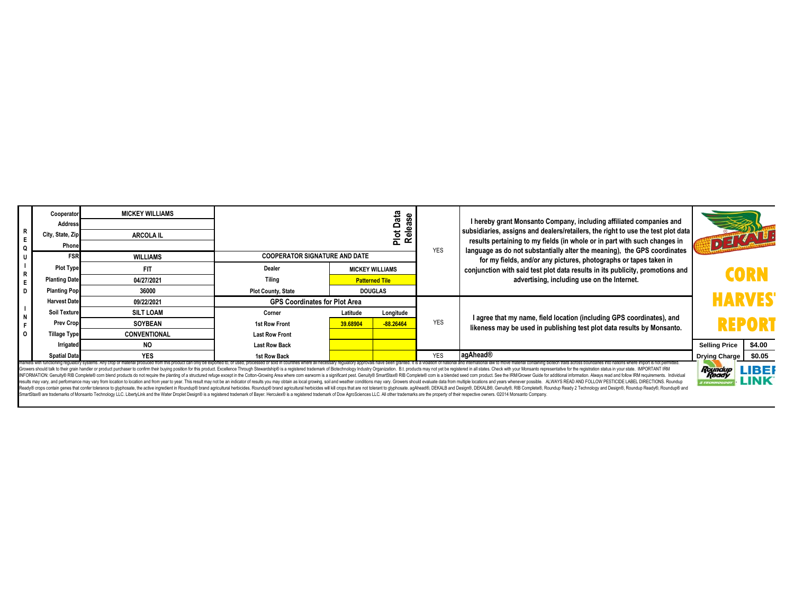| $\begin{array}{c} R \\ E \end{array}$<br>∣Q                                                                                                                                                                                                                                                                                                                                                                                                                                                                                                                                                                                                                                                                                                                                                                                                                                                                                                                                | Cooperator<br><b>Address</b><br>City, State, Zip<br>Phone | <b>MICKEY WILLIAMS</b><br><b>ARCOLA IL</b> | Data<br>ease<br><u>ھ</u><br>ᄒ        |                                                                   |             | <b>YES</b> | I hereby grant Monsanto Company, including affiliated companies and<br>subsidiaries, assigns and dealers/retailers, the right to use the test plot data<br>results pertaining to my fields (in whole or in part with such changes in<br>language as do not substantially alter the meaning), the GPS coordinates | TO EXAMPLE           |        |  |
|----------------------------------------------------------------------------------------------------------------------------------------------------------------------------------------------------------------------------------------------------------------------------------------------------------------------------------------------------------------------------------------------------------------------------------------------------------------------------------------------------------------------------------------------------------------------------------------------------------------------------------------------------------------------------------------------------------------------------------------------------------------------------------------------------------------------------------------------------------------------------------------------------------------------------------------------------------------------------|-----------------------------------------------------------|--------------------------------------------|--------------------------------------|-------------------------------------------------------------------|-------------|------------|------------------------------------------------------------------------------------------------------------------------------------------------------------------------------------------------------------------------------------------------------------------------------------------------------------------|----------------------|--------|--|
|                                                                                                                                                                                                                                                                                                                                                                                                                                                                                                                                                                                                                                                                                                                                                                                                                                                                                                                                                                            | <b>FSR</b>                                                | <b>WILLIAMS</b>                            | <b>COOPERATOR SIGNATURE AND DATE</b> |                                                                   |             |            | for my fields, and/or any pictures, photographs or tapes taken in                                                                                                                                                                                                                                                |                      |        |  |
|                                                                                                                                                                                                                                                                                                                                                                                                                                                                                                                                                                                                                                                                                                                                                                                                                                                                                                                                                                            | <b>Plot Type</b>                                          | <b>FIT</b>                                 | Dealer                               | <b>MICKEY WILLIAMS</b><br><b>Patterned Tile</b><br><b>DOUGLAS</b> |             |            | conjunction with said test plot data results in its publicity, promotions and                                                                                                                                                                                                                                    | <b>CORN</b>          |        |  |
| $\begin{array}{c} \n\hline\n\end{array}$                                                                                                                                                                                                                                                                                                                                                                                                                                                                                                                                                                                                                                                                                                                                                                                                                                                                                                                                   | <b>Planting Date</b>                                      | 04/27/2021                                 | <b>Tiling</b>                        |                                                                   |             |            | advertising, including use on the Internet.                                                                                                                                                                                                                                                                      |                      |        |  |
|                                                                                                                                                                                                                                                                                                                                                                                                                                                                                                                                                                                                                                                                                                                                                                                                                                                                                                                                                                            | <b>Planting Pop</b>                                       | 36000                                      | <b>Plot County, State</b>            |                                                                   |             |            |                                                                                                                                                                                                                                                                                                                  |                      |        |  |
| $\frac{1}{N}$<br>l o                                                                                                                                                                                                                                                                                                                                                                                                                                                                                                                                                                                                                                                                                                                                                                                                                                                                                                                                                       | <b>Harvest Date</b>                                       | 09/22/2021                                 | <b>GPS Coordinates for Plot Area</b> |                                                                   |             |            |                                                                                                                                                                                                                                                                                                                  | <b>HARVES</b>        |        |  |
|                                                                                                                                                                                                                                                                                                                                                                                                                                                                                                                                                                                                                                                                                                                                                                                                                                                                                                                                                                            | <b>Soil Texture</b>                                       | <b>SILT LOAM</b>                           | Corner                               | Latitude                                                          | Longitude   |            |                                                                                                                                                                                                                                                                                                                  | <b>REPORT</b>        |        |  |
|                                                                                                                                                                                                                                                                                                                                                                                                                                                                                                                                                                                                                                                                                                                                                                                                                                                                                                                                                                            | <b>Prev Crop</b>                                          | <b>SOYBEAN</b>                             | 1st Row Front                        | 39.68904                                                          | $-88.26464$ | <b>YES</b> | I agree that my name, field location (including GPS coordinates), and<br>likeness may be used in publishing test plot data results by Monsanto.                                                                                                                                                                  |                      |        |  |
|                                                                                                                                                                                                                                                                                                                                                                                                                                                                                                                                                                                                                                                                                                                                                                                                                                                                                                                                                                            | <b>Tillage Type</b>                                       | <b>CONVENTIONAL</b>                        | <b>Last Row Front</b>                |                                                                   |             |            |                                                                                                                                                                                                                                                                                                                  |                      |        |  |
|                                                                                                                                                                                                                                                                                                                                                                                                                                                                                                                                                                                                                                                                                                                                                                                                                                                                                                                                                                            | Irrigated                                                 | <b>NO</b>                                  | <b>Last Row Back</b>                 |                                                                   |             |            |                                                                                                                                                                                                                                                                                                                  | <b>Selling Price</b> | \$4.00 |  |
|                                                                                                                                                                                                                                                                                                                                                                                                                                                                                                                                                                                                                                                                                                                                                                                                                                                                                                                                                                            | <b>Spatial Data</b>                                       | <b>YES</b>                                 | 1st Row Back                         |                                                                   |             | <b>YES</b> | agAhead®                                                                                                                                                                                                                                                                                                         | Drying Charge \$0.05 |        |  |
| markets with functioning requiatory systems. Any crop or material produced from this product can only be exported to, or used, processed or sold in countries where all necessary requiatory approvals have been granted. It i<br>Roundup<br>Growers should talk to their grain handler or product purchaser to confirm their buying position for this product. Excellence Through Stewardship® is a registered trademark of Biolechnology Industry Organization. B.t. prod<br>Ready<br>INFORMATION: Genuity® RIB Complete® com blend products do not require the planting of a structured refuge except in the Cotton-Growing Area where com earworm is a significant pest. Genuity® SmartStax® RIB Complete® com is<br>results may vary, and performance may vary from location to location and from year to year. This result may not be an indicator of result may not be an indicator of results you may obtain as local growing, soil and weather<br><b>TECHNOLO</b> |                                                           |                                            |                                      |                                                                   |             |            |                                                                                                                                                                                                                                                                                                                  |                      |        |  |

Growers should lak to their grain handler or poduct purchaser to confirm their buring position for this product Excellence Through Scheme (Scheme in the planting of a studient regular the Decline Research in the Colton-Gro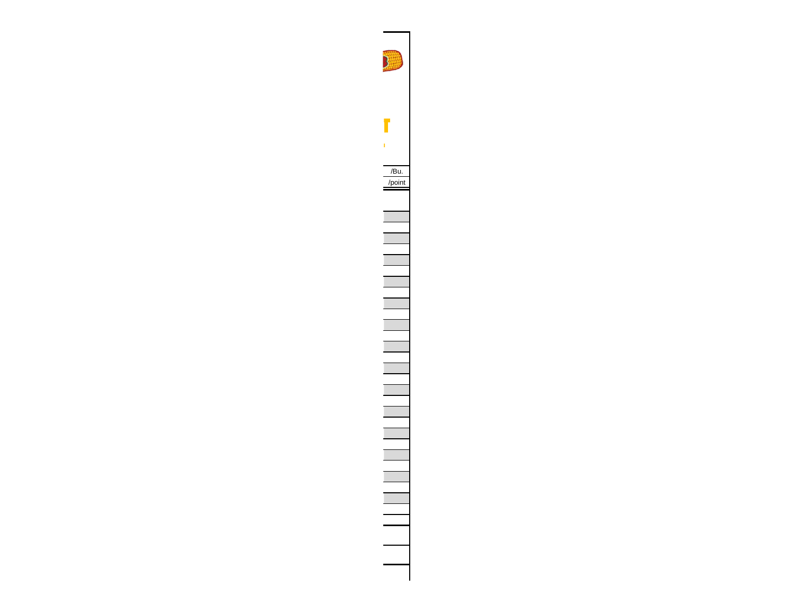**HARVEST REPORT**/Bu. /point